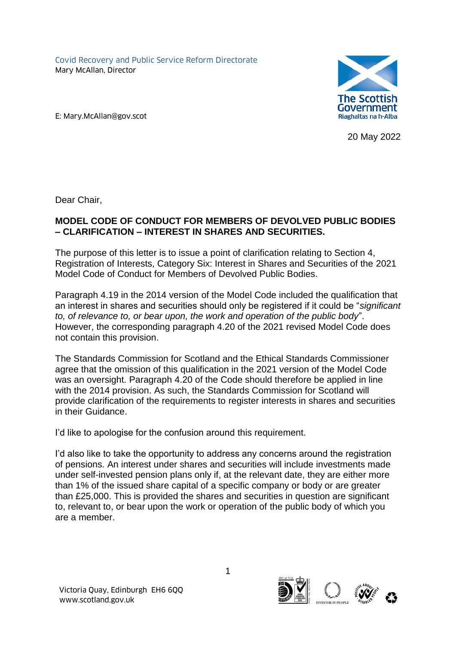Covid Recovery and Public Service Reform Directorate Mary McAllan, Director



E: Mary.McAllan@gov.scot

20 May 2022

Dear Chair,

## **MODEL CODE OF CONDUCT FOR MEMBERS OF DEVOLVED PUBLIC BODIES – CLARIFICATION – INTEREST IN SHARES AND SECURITIES.**

The purpose of this letter is to issue a point of clarification relating to Section 4, Registration of Interests, Category Six: Interest in Shares and Securities of the 2021 Model Code of Conduct for Members of Devolved Public Bodies.

Paragraph 4.19 in the 2014 version of the Model Code included the qualification that an interest in shares and securities should only be registered if it could be "*significant to, of relevance to, or bear upon, the work and operation of the public body*". However, the corresponding paragraph 4.20 of the 2021 revised Model Code does not contain this provision.

The Standards Commission for Scotland and the Ethical Standards Commissioner agree that the omission of this qualification in the 2021 version of the Model Code was an oversight. Paragraph 4.20 of the Code should therefore be applied in line with the 2014 provision. As such, the Standards Commission for Scotland will provide clarification of the requirements to register interests in shares and securities in their Guidance.

I'd like to apologise for the confusion around this requirement.

I'd also like to take the opportunity to address any concerns around the registration of pensions. An interest under shares and securities will include investments made under self-invested pension plans only if, at the relevant date, they are either more than 1% of the issued share capital of a specific company or body or are greater than £25,000. This is provided the shares and securities in question are significant to, relevant to, or bear upon the work or operation of the public body of which you are a member.